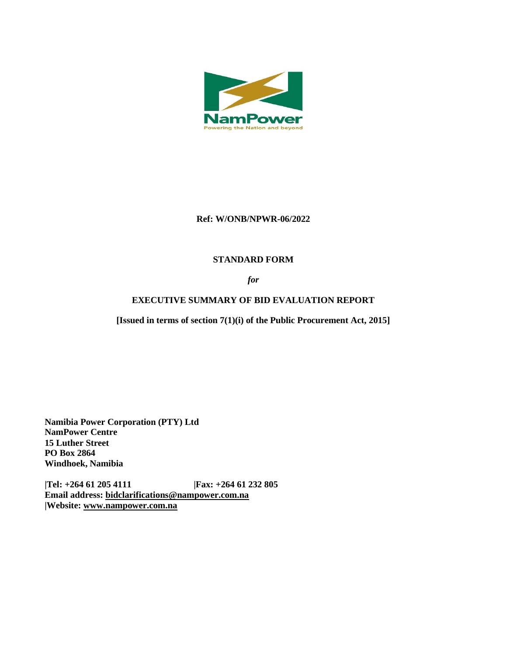

## **Ref: W/ONB/NPWR-06/2022**

## **STANDARD FORM**

*for*

# **EXECUTIVE SUMMARY OF BID EVALUATION REPORT**

**[Issued in terms of section 7(1)(i) of the Public Procurement Act, 2015]** 

**Namibia Power Corporation (PTY) Ltd NamPower Centre 15 Luther Street PO Box 2864 Windhoek, Namibia**

**|Tel: +264 61 205 4111 |Fax: +264 61 232 805 Email address: [bidclarifications@nampower.com.na](mailto:bidclarifications@nampower.com.na) |Website: [www.n](http://www./)ampower.com.na**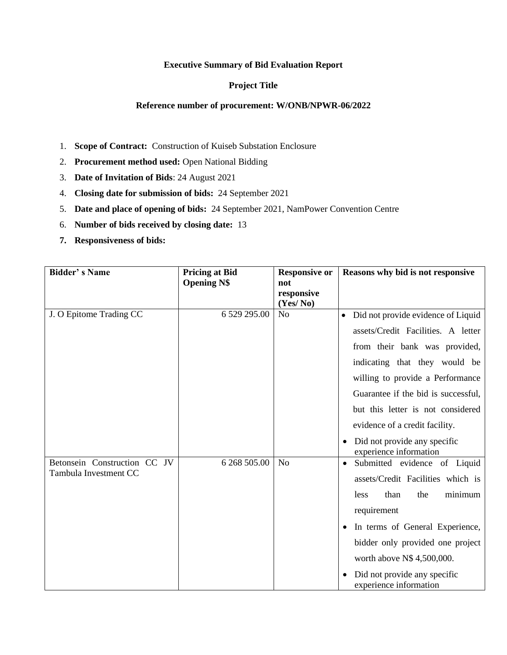#### **Executive Summary of Bid Evaluation Report**

### **Project Title**

#### **Reference number of procurement: W/ONB/NPWR-06/2022**

- 1. **Scope of Contract:** Construction of Kuiseb Substation Enclosure
- 2. **Procurement method used:** Open National Bidding
- 3. **Date of Invitation of Bids**: 24 August 2021
- 4. **Closing date for submission of bids:** 24 September 2021
- 5. **Date and place of opening of bids:** 24 September 2021, NamPower Convention Centre
- 6. **Number of bids received by closing date:** 13
- **7. Responsiveness of bids:**

| <b>Bidder's Name</b>                                  | <b>Pricing at Bid</b><br><b>Opening N\$</b> | <b>Responsive or</b><br>not<br>responsive<br>(Yes/No) | Reasons why bid is not responsive                                                                                                                                                                                                                                                                                                                                   |
|-------------------------------------------------------|---------------------------------------------|-------------------------------------------------------|---------------------------------------------------------------------------------------------------------------------------------------------------------------------------------------------------------------------------------------------------------------------------------------------------------------------------------------------------------------------|
| J. O Epitome Trading CC                               | 6 529 295.00                                | N <sub>o</sub>                                        | Did not provide evidence of Liquid<br>$\bullet$<br>assets/Credit Facilities. A letter<br>from their bank was provided,<br>indicating that they would be<br>willing to provide a Performance<br>Guarantee if the bid is successful,<br>but this letter is not considered<br>evidence of a credit facility.<br>Did not provide any specific<br>experience information |
| Betonsein Construction CC JV<br>Tambula Investment CC | 6 268 505.00                                | N <sub>o</sub>                                        | Submitted evidence of Liquid<br>assets/Credit Facilities which is<br>than<br>minimum<br>the<br>less<br>requirement<br>In terms of General Experience,<br>bidder only provided one project<br>worth above N\$ 4,500,000.<br>Did not provide any specific<br>experience information                                                                                   |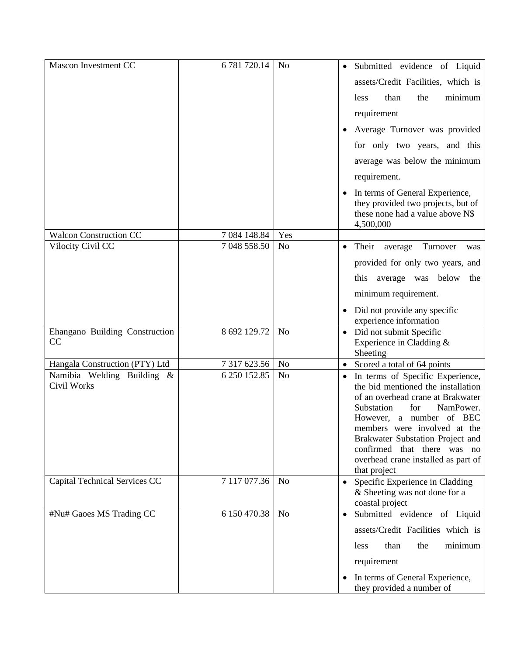| Mascon Investment CC                      | 6 781 720.14 | N <sub>0</sub> | Submitted evidence of Liquid<br>$\bullet$                                                                                                                                                                                                                                                                                             |
|-------------------------------------------|--------------|----------------|---------------------------------------------------------------------------------------------------------------------------------------------------------------------------------------------------------------------------------------------------------------------------------------------------------------------------------------|
|                                           |              |                | assets/Credit Facilities, which is                                                                                                                                                                                                                                                                                                    |
|                                           |              |                | than<br>minimum<br>the<br>less                                                                                                                                                                                                                                                                                                        |
|                                           |              |                | requirement                                                                                                                                                                                                                                                                                                                           |
|                                           |              |                | Average Turnover was provided                                                                                                                                                                                                                                                                                                         |
|                                           |              |                | for only two years, and this                                                                                                                                                                                                                                                                                                          |
|                                           |              |                | average was below the minimum                                                                                                                                                                                                                                                                                                         |
|                                           |              |                | requirement.                                                                                                                                                                                                                                                                                                                          |
|                                           |              |                | In terms of General Experience,<br>they provided two projects, but of<br>these none had a value above N\$<br>4,500,000                                                                                                                                                                                                                |
| <b>Walcon Construction CC</b>             | 7 084 148.84 | Yes            |                                                                                                                                                                                                                                                                                                                                       |
| Vilocity Civil CC                         | 7 048 558.50 | N <sub>o</sub> | Their<br>average Turnover<br>$\bullet$<br>was                                                                                                                                                                                                                                                                                         |
|                                           |              |                | provided for only two years, and                                                                                                                                                                                                                                                                                                      |
|                                           |              |                | this average was below<br>the                                                                                                                                                                                                                                                                                                         |
|                                           |              |                | minimum requirement.                                                                                                                                                                                                                                                                                                                  |
|                                           |              |                | Did not provide any specific<br>experience information                                                                                                                                                                                                                                                                                |
| Ehangano Building Construction<br>CC      | 8 692 129.72 | N <sub>0</sub> | • Did not submit Specific<br>Experience in Cladding &<br>Sheeting                                                                                                                                                                                                                                                                     |
| Hangala Construction (PTY) Ltd            | 7 317 623.56 | No             | Scored a total of 64 points                                                                                                                                                                                                                                                                                                           |
| Namibia Welding Building &<br>Civil Works | 6 250 152.85 | No             | • In terms of Specific Experience,<br>the bid mentioned the installation<br>of an overhead crane at Brakwater<br>Substation<br>NamPower.<br>for<br>However, a number of BEC<br>members were involved at the<br>Brakwater Substation Project and<br>confirmed that there was no<br>overhead crane installed as part of<br>that project |
| Capital Technical Services CC             | 7 117 077.36 | N <sub>o</sub> | Specific Experience in Cladding<br>& Sheeting was not done for a<br>coastal project                                                                                                                                                                                                                                                   |
| #Nu# Gaoes MS Trading CC                  | 6 150 470.38 | N <sub>o</sub> | Submitted evidence of Liquid                                                                                                                                                                                                                                                                                                          |
|                                           |              |                | assets/Credit Facilities which is                                                                                                                                                                                                                                                                                                     |
|                                           |              |                | minimum<br>than<br>the<br>less                                                                                                                                                                                                                                                                                                        |
|                                           |              |                | requirement                                                                                                                                                                                                                                                                                                                           |
|                                           |              |                | In terms of General Experience,<br>they provided a number of                                                                                                                                                                                                                                                                          |